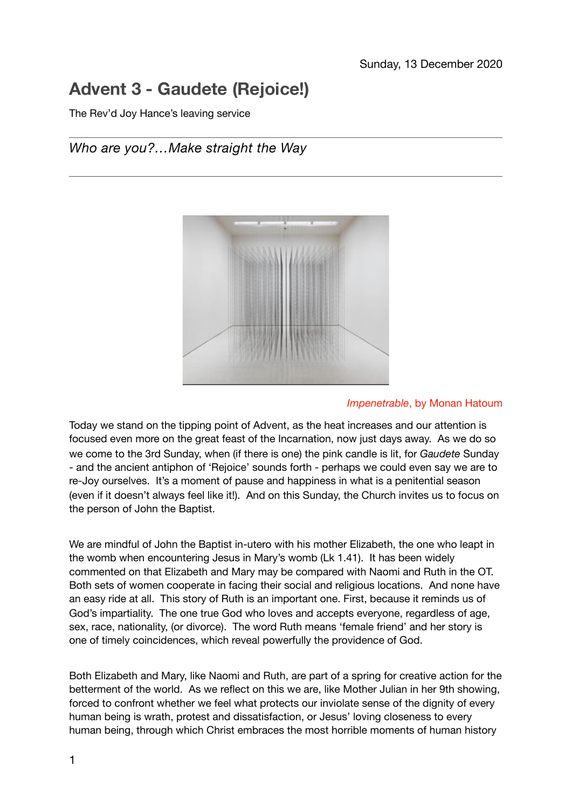# **Advent 3 - Gaudete (Rejoice!)**

The Rev'd Joy Hance's leaving service

# *Who are you?…Make straight the Way*



#### *Impenetrable*, by Monan Hatoum

Today we stand on the tipping point of Advent, as the heat increases and our attention is focused even more on the great feast of the Incarnation, now just days away. As we do so we come to the 3rd Sunday, when (if there is one) the pink candle is lit, for *Gaudete* Sunday - and the ancient antiphon of 'Rejoice' sounds forth - perhaps we could even say we are to re-Joy ourselves. It's a moment of pause and happiness in what is a penitential season (even if it doesn't always feel like it!). And on this Sunday, the Church invites us to focus on the person of John the Baptist.

We are mindful of John the Baptist in-utero with his mother Elizabeth, the one who leapt in the womb when encountering Jesus in Mary's womb (Lk 1.41). It has been widely commented on that Elizabeth and Mary may be compared with Naomi and Ruth in the OT. Both sets of women cooperate in facing their social and religious locations. And none have an easy ride at all. This story of Ruth is an important one. First, because it reminds us of God's impartiality. The one true God who loves and accepts everyone, regardless of age, sex, race, nationality, (or divorce). The word Ruth means 'female friend' and her story is one of timely coincidences, which reveal powerfully the providence of God.

Both Elizabeth and Mary, like Naomi and Ruth, are part of a spring for creative action for the betterment of the world. As we reflect on this we are, like Mother Julian in her 9th showing, forced to confront whether we feel what protects our inviolate sense of the dignity of every human being is wrath, protest and dissatisfaction, or Jesus' loving closeness to every human being, through which Christ embraces the most horrible moments of human history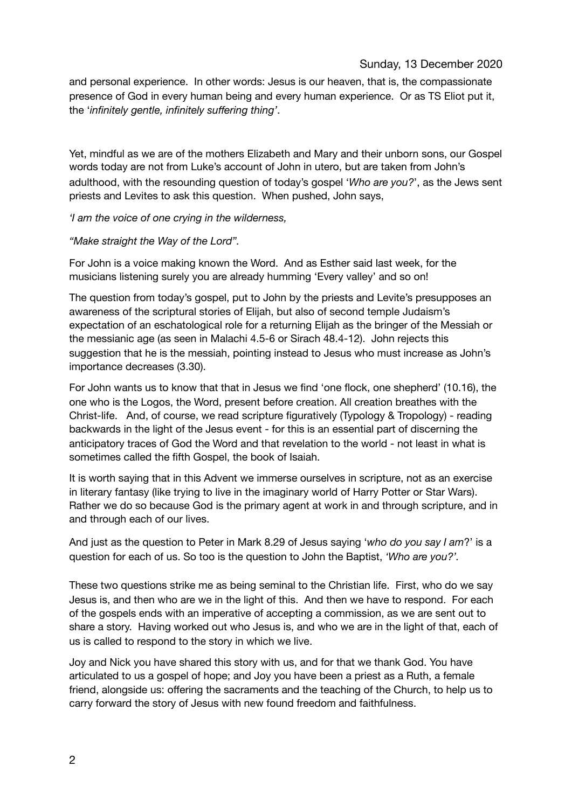### Sunday, 13 December 2020

and personal experience. In other words: Jesus is our heaven, that is, the compassionate presence of God in every human being and every human experience. Or as TS Eliot put it, the '*infinitely gentle, infinitely suffering thing'*.

Yet, mindful as we are of the mothers Elizabeth and Mary and their unborn sons, our Gospel words today are not from Luke's account of John in utero, but are taken from John's adulthood, with the resounding question of today's gospel '*Who are you?*', as the Jews sent priests and Levites to ask this question. When pushed, John says,

*'I am the voice of one crying in the wilderness,* 

#### *"Make straight the Way of the Lord".*

For John is a voice making known the Word. And as Esther said last week, for the musicians listening surely you are already humming 'Every valley' and so on!

The question from today's gospel, put to John by the priests and Levite's presupposes an awareness of the scriptural stories of Elijah, but also of second temple Judaism's expectation of an eschatological role for a returning Elijah as the bringer of the Messiah or the messianic age (as seen in Malachi 4.5-6 or Sirach 48.4-12). John rejects this suggestion that he is the messiah, pointing instead to Jesus who must increase as John's importance decreases (3.30).

For John wants us to know that that in Jesus we find 'one flock, one shepherd' (10.16), the one who is the Logos, the Word, present before creation. All creation breathes with the Christ-life. And, of course, we read scripture figuratively (Typology & Tropology) - reading backwards in the light of the Jesus event - for this is an essential part of discerning the anticipatory traces of God the Word and that revelation to the world - not least in what is sometimes called the fifth Gospel, the book of Isaiah.

It is worth saying that in this Advent we immerse ourselves in scripture, not as an exercise in literary fantasy (like trying to live in the imaginary world of Harry Potter or Star Wars). Rather we do so because God is the primary agent at work in and through scripture, and in and through each of our lives.

And just as the question to Peter in Mark 8.29 of Jesus saying '*who do you say I am*?' is a question for each of us. So too is the question to John the Baptist, *'Who are you?'.* 

These two questions strike me as being seminal to the Christian life. First, who do we say Jesus is, and then who are we in the light of this. And then we have to respond. For each of the gospels ends with an imperative of accepting a commission, as we are sent out to share a story. Having worked out who Jesus is, and who we are in the light of that, each of us is called to respond to the story in which we live.

Joy and Nick you have shared this story with us, and for that we thank God. You have articulated to us a gospel of hope; and Joy you have been a priest as a Ruth, a female friend, alongside us: offering the sacraments and the teaching of the Church, to help us to carry forward the story of Jesus with new found freedom and faithfulness.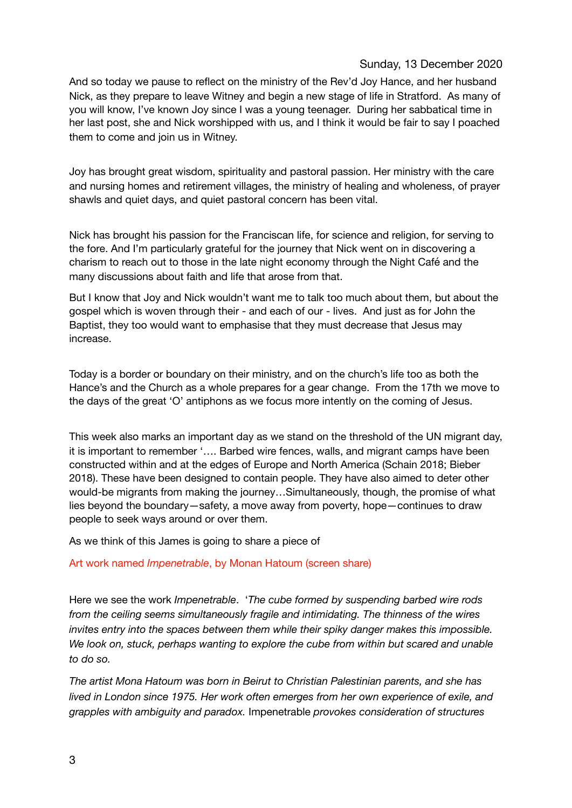## Sunday, 13 December 2020

And so today we pause to reflect on the ministry of the Rev'd Joy Hance, and her husband Nick, as they prepare to leave Witney and begin a new stage of life in Stratford. As many of you will know, I've known Joy since I was a young teenager. During her sabbatical time in her last post, she and Nick worshipped with us, and I think it would be fair to say I poached them to come and join us in Witney.

Joy has brought great wisdom, spirituality and pastoral passion. Her ministry with the care and nursing homes and retirement villages, the ministry of healing and wholeness, of prayer shawls and quiet days, and quiet pastoral concern has been vital.

Nick has brought his passion for the Franciscan life, for science and religion, for serving to the fore. And I'm particularly grateful for the journey that Nick went on in discovering a charism to reach out to those in the late night economy through the Night Café and the many discussions about faith and life that arose from that.

But I know that Joy and Nick wouldn't want me to talk too much about them, but about the gospel which is woven through their - and each of our - lives. And just as for John the Baptist, they too would want to emphasise that they must decrease that Jesus may increase.

Today is a border or boundary on their ministry, and on the church's life too as both the Hance's and the Church as a whole prepares for a gear change. From the 17th we move to the days of the great 'O' antiphons as we focus more intently on the coming of Jesus.

This week also marks an important day as we stand on the threshold of the UN migrant day, it is important to remember '…. Barbed wire fences, walls, and migrant camps have been constructed within and at the edges of Europe and North America (Schain 2018; Bieber 2018). These have been designed to contain people. They have also aimed to deter other would-be migrants from making the journey…Simultaneously, though, the promise of what lies beyond the boundary—safety, a move away from poverty, hope—continues to draw people to seek ways around or over them.

As we think of this James is going to share a piece of

#### Art work named *Impenetrable*, by Monan Hatoum (screen share)

Here we see the work *Impenetrable*. '*The cube formed by suspending barbed wire rods from the ceiling seems simultaneously fragile and intimidating. The thinness of the wires invites entry into the spaces between them while their spiky danger makes this impossible. We look on, stuck, perhaps wanting to explore the cube from within but scared and unable to do so.* 

*The artist Mona Hatoum was born in Beirut to Christian Palestinian parents, and she has lived in London since 1975. Her work often emerges from her own experience of exile, and grapples with ambiguity and paradox.* Impenetrable *provokes consideration of structures*